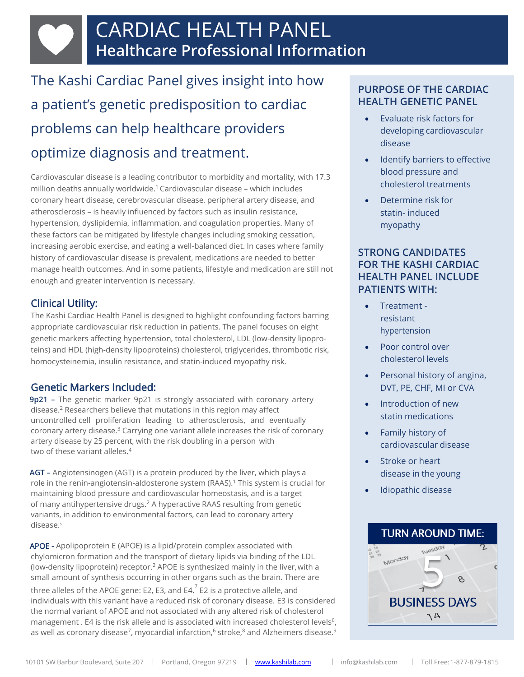The Kashi Cardiac Panel gives insight into how a patient's genetic predisposition to cardiac problems can help healthcare providers optimize diagnosis and treatment.

Cardiovascular disease is a leading contributor to morbidity and mortality, with 17.3 million deaths annually worldwide.<sup>1</sup> Cardiovascular disease - which includes coronary heart disease, cerebrovascular disease, peripheral artery disease, and atherosclerosis – is heavily influenced by factors such as insulin resistance, hypertension, dyslipidemia, inflammation, and coagulation properties. Many of these factors can be mitigated by lifestyle changes including smoking cessation, increasing aerobic exercise, and eating a well-balanced diet. In cases where family history of cardiovascular disease is prevalent, medications are needed to better manage health outcomes. And in some patients, lifestyle and medication are still not enough and greater intervention is necessary.

### Clinical Utility:

The Kashi Cardiac Health Panel is designed to highlight confounding factors barring appropriate cardiovascular risk reduction in patients. The panel focuses on eight genetic markers affecting hypertension, total cholesterol, LDL (low-density lipoproteins) and HDL (high-density lipoproteins) cholesterol, triglycerides, thrombotic risk, homocysteinemia, insulin resistance, and statin-induced myopathy risk.

## Genetic Markers Included:

 **9p21 –** The genetic marker 9p21 is strongly associated with coronary artery disease.<sup>2</sup> Researchers believe that mutations in this region may affect uncontrolled cell proliferation leading to atherosclerosis, and eventually coronary artery disease.<sup>3</sup> Carrying one variant allele increases the risk of coronary artery disease by 25 percent, with the risk doubling in a person with two of these variant alleles.<sup>4</sup>

 **AGT –** Angiotensinogen (AGT) is a protein produced by the liver, which plays a role in the renin-angiotensin-aldosterone system (RAAS).<sup>1</sup> This system is crucial for maintaining blood pressure and cardiovascular homeostasis, and is a target of many antihypertensive drugs.<sup>2</sup> A hyperactive RAAS resulting from genetic variants, in addition to environmental factors, can lead to coronary artery disease.<sup>5</sup>

APOE - Apolipoprotein E (APOE) is a lipid/protein complex associated with chylomicron formation and the transport of dietary lipids via binding of the LDL (low-density lipoprotein) receptor.<sup>2</sup> APOE is synthesized mainly in the liver, with a small amount of synthesis occurring in other organs such as the brain. There are three alleles of the APOE gene: E2, E3, and E4. $^7$  E2 is a protective allele, and individuals with this variant have a reduced risk of coronary disease. E3 is considered the normal variant of APOE and not associated with any altered risk of cholesterol management . E4 is the risk allele and is associated with increased cholesterol levels<sup>6</sup>, as well as coronary disease<sup>7</sup>, myocardial infarction, $^6$  stroke, $^8$  and Alzheimers disease. $^9$ 

# **PURPOSE OF THE CARDIAC HEALTH GENETIC PANEL**

- Evaluate risk factors for developing cardiovascular disease
- Identify barriers to effective blood pressure and cholesterol treatments
- Determine risk for statin- induced myopathy

#### **STRONG CANDIDATES FOR THE KASHI CARDIAC HEALTH PANEL INCLUDE PATIENTS WITH:**

- Treatment resistant hypertension
- Poor control over cholesterol levels
- Personal history of angina, DVT, PE, CHF, MI or CVA
- Introduction of new statin medications
- Family history of cardiovascular disease
- Stroke or heart disease in the young
- Idiopathic disease